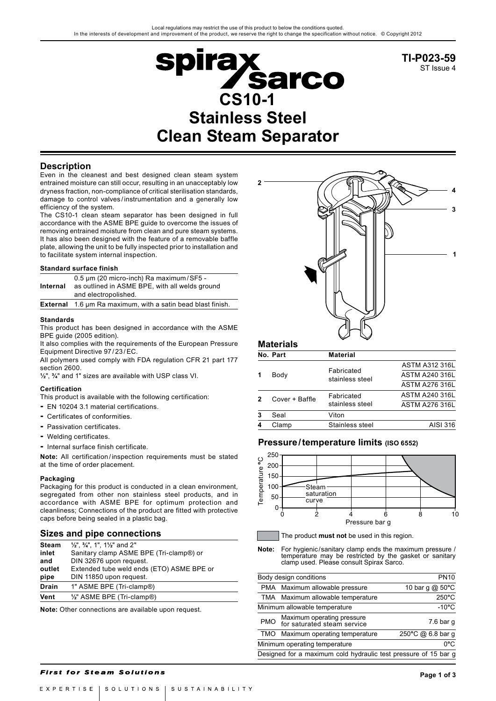

**TI-P023-59** ST Issue 4

## **Description**

Even in the cleanest and best designed clean steam system entrained moisture can still occur, resulting in an unacceptably low dryness fraction, non-compliance of critical sterilisation standards, damage to control valves / instrumentation and a generally low efficiency of the system.

The CS10-1 clean steam separator has been designed in full accordance with the ASME BPE guide to overcome the issues of removing entrained moisture from clean and pure steam systems. It has also been designed with the feature of a removable baffle plate, allowing the unit to be fully inspected prior to installation and to facilitate system internal inspection.

#### **Standard surface finish**

| Internal | 0.5 um (20 micro-inch) Ra maximum/SF5 -<br>as outlined in ASME BPE, with all welds ground<br>and electropolished. |
|----------|-------------------------------------------------------------------------------------------------------------------|
|          | <b>External</b> 1.6 um Ra maximum, with a satin bead blast finish.                                                |

#### **Standards**

This product has been designed in accordance with the ASME BPE guide (2005 edition).

It also complies with the requirements of the European Pressure Equipment Directive 97 / 23 /EC.

All polymers used comply with FDA regulation CFR 21 part 177 section 2600.

**½**", **¾**" and 1" sizes are available with USP class VI.

#### **Certification**

This product is available with the following certification:

- **-** EN 10204 3.1 material certifications.
- **-** Certificates of conformities.
- **-** Passivation certificates.
- **-** Welding certificates.
- **-** Internal surface finish certificate.

**Note:** All certification / inspection requirements must be stated at the time of order placement.

#### **Packaging**

Packaging for this product is conducted in a clean environment, segregated from other non stainless steel products, and in accordance with ASME BPE for optimum protection and cleanliness; Connections of the product are fitted with protective caps before being sealed in a plastic bag.

#### **Sizes and pipe connections**

| <b>Steam</b> | $\frac{1}{2}$ ", $\frac{3}{4}$ ", 1", 11/ <sub>2</sub> " and 2" |
|--------------|-----------------------------------------------------------------|
| inlet        | Sanitary clamp ASME BPE (Tri-clamp®) or                         |
| and          | DIN 32676 upon request.                                         |
| outlet       | Extended tube weld ends (ETO) ASME BPE or                       |
| pipe         | DIN 11850 upon request.                                         |
| <b>Drain</b> | 1" ASME BPE (Tri-clamp®)                                        |
| Vent         | 1/2" ASME BPE (Tri-clamp®)                                      |

**Note:** Other connections are available upon request.



## **Materials**

Ï

|   | No. Part       | <b>Material</b>               |                       |
|---|----------------|-------------------------------|-----------------------|
| 1 |                |                               | <b>ASTM A312 316L</b> |
|   | Body           | Fabricated<br>stainless steel | <b>ASTM A240 316L</b> |
|   |                |                               | <b>ASTM A276 316L</b> |
| 2 | Cover + Baffle | Fabricated                    | <b>ASTM A240 316L</b> |
|   |                | stainless steel               | <b>ASTM A276 316L</b> |
| 3 | Seal           | Viton                         |                       |
| 4 | Clamp          | Stainless steel               | AISI 316              |

### **Pressure/temperature limits (ISO 6552)**



The product **must not** be used in this region.

**Note:** For hygienic/sanitary clamp ends the maximum pressure / temperature may be restricted by the gasket or sanitary clamp used. Please consult Spirax Sarco.

|            | Body design conditions                                          | <b>PN10</b>       |
|------------|-----------------------------------------------------------------|-------------------|
|            | PMA Maximum allowable pressure                                  | 10 bar g @ 50°C   |
|            | TMA Maximum allowable temperature                               | $250^{\circ}$ C   |
|            | Minimum allowable temperature                                   | $-10^{\circ}$ C   |
| <b>PMO</b> | Maximum operating pressure<br>for saturated steam service       | $7.6$ bar q       |
| <b>TMO</b> | Maximum operating temperature                                   | 250°C @ 6.8 bar q |
|            | Minimum operating temperature                                   | 0°C               |
|            | Designed for a maximum cold hydraulic test pressure of 15 bar g |                   |

#### **First for Steam Solutions**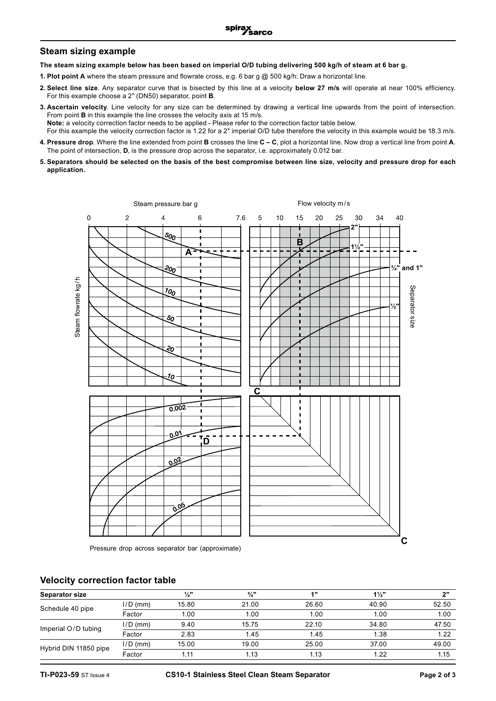## **Steam sizing example**

**The steam sizing example below has been based on imperial O/D tubing delivering 500 kg/h of steam at 6 bar g.**

- **1. Plot point A** where the steam pressure and flowrate cross, e.g. 6 bar g @ 500 kg/h: Draw a horizontal line.
- **2. Select line size**. Any separator curve that is bisected by this line at a velocity **below 27 m/s** will operate at near 100% efficiency. For this example choose a 2" (DN50) separator, point **B**.
- **3. Ascertain velocity**. Line velocity for any size can be determined by drawing a vertical line upwards from the point of intersection. From point **B** in this example the line crosses the velocity axis at 15 m/s. **Note:** a velocity correction factor needs to be applied - Please refer to the correction factor table below. For this example the velocity correction factor is 1.22 for a 2" imperial O/D tube therefore the velocity in this example would be 18.3 m/s.
- **4. Pressure drop**. Where the line extended from point **B** crosses the line **C C**, plot a horizontal line. Now drop a vertical line from point **A**. The point of intersection, **D**, is the pressure drop across the separator, i.e. approximately 0.012 bar.
- **5. Separators should be selected on the basis of the best compromise between line size, velocity and pressure drop for each application.**



Pressure drop across separator bar (approximate)

## **Velocity correction factor table**

| <b>Separator size</b> |            | $\frac{1}{2}$ | $\frac{3}{4}$ " | 411   | $1\frac{1}{2}$ | יימ   |
|-----------------------|------------|---------------|-----------------|-------|----------------|-------|
| Schedule 40 pipe      | $I/D$ (mm) | 15.80         | 21.00           | 26.60 | 40.90          | 52.50 |
|                       | Factor     | 1.00          | 1.00            | 1.00  | 1.00           | 1.00  |
| Imperial O/D tubing   | $1/D$ (mm) | 9.40          | 15.75           | 22.10 | 34.80          | 47.50 |
|                       | Factor     | 2.83          | 1.45            | 1.45  | 1.38           | 1.22  |
| Hybrid DIN 11850 pipe | $1/D$ (mm) | 15.00         | 19.00           | 25.00 | 37.00          | 49.00 |
|                       | Factor     | 1.11          | 1.13            | 1.13  | 1.22           | 1.15  |